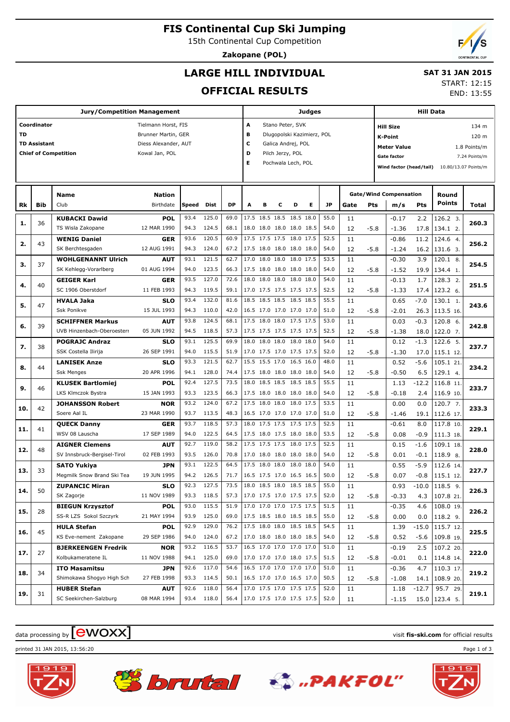**FIS Continental Cup Ski Jumping**

15th Continental Cup Competition

**Zakopane (POL)**

# **LARGE HILL INDIVIDUAL**

### **SAT 31 JAN 2015** START: 12:15

**OFFICIAL RESULTS**

|     |                     | <b>Jury/Competition Management</b> |                      |       |            |           | Judges                   |                  |                            |   | Hill Data |           |      |        |                               |                                     |                        |              |  |
|-----|---------------------|------------------------------------|----------------------|-------|------------|-----------|--------------------------|------------------|----------------------------|---|-----------|-----------|------|--------|-------------------------------|-------------------------------------|------------------------|--------------|--|
|     | Coordinator         |                                    | Tielmann Horst, FIS  |       |            |           | A                        |                  | Stano Peter, SVK           |   |           |           |      |        | <b>Hill Size</b>              |                                     |                        | 134 m        |  |
| TD  |                     |                                    | Brunner Martin, GER  |       |            |           | в                        |                  | Dlugopolski Kazimierz, POL |   |           |           |      |        | <b>K-Point</b>                |                                     |                        | 120 m        |  |
|     | <b>TD Assistant</b> |                                    | Diess Alexander, AUT |       |            |           | с                        |                  | Galica Andrej, POL         |   |           |           |      |        | <b>Meter Value</b>            |                                     |                        | 1.8 Points/m |  |
|     |                     | <b>Chief of Competition</b>        | Kowal Jan, POL       |       |            |           | D                        | Pilch Jerzy, POL |                            |   |           |           |      |        |                               | <b>Gate factor</b><br>7.24 Points/m |                        |              |  |
|     |                     |                                    |                      |       |            |           | Е                        |                  | Pochwala Lech, POL         |   |           |           |      |        | Wind factor (head/tail)       |                                     | 10.80/13.07 Points/m   |              |  |
|     |                     |                                    |                      |       |            |           |                          |                  |                            |   |           |           |      |        |                               |                                     |                        |              |  |
|     |                     |                                    |                      |       |            |           |                          |                  |                            |   |           |           |      |        |                               |                                     |                        |              |  |
|     |                     | <b>Name</b>                        | <b>Nation</b>        |       |            |           |                          |                  |                            |   |           |           |      |        | <b>Gate/Wind Compensation</b> |                                     | Round<br><b>Points</b> |              |  |
| Rk  | Bib                 | Club                               | Birthdate            | Speed | Dist       | <b>DP</b> | A                        | в                | с                          | D | Е         | <b>JP</b> | Gate | Pts    | m/s                           | Pts                                 |                        | <b>Total</b> |  |
| 1.  | 36                  | <b>KUBACKI Dawid</b>               | <b>POL</b>           | 93.4  | 125.0      | 69.0      | 17.5 18.5 18.5 18.5 18.0 |                  |                            |   |           | 55.0      | 11   |        | $-0.17$                       | 2.2                                 | 126.2 3.               | 260.3        |  |
|     |                     | TS Wisla Zakopane                  | 12 MAR 1990          | 94.3  | 124.5      | 68.1      | 18.0 18.0 18.0 18.0 18.5 |                  |                            |   |           | 54.0      | 12   | $-5.8$ | $-1.36$                       | 17.8                                | 134.1 2.               |              |  |
| 2.  | 43                  | <b>WENIG Daniel</b>                | <b>GER</b>           | 93.6  | 120.5      | 60.9      | 17.5 17.5 17.5 18.0 17.5 |                  |                            |   |           | 52.5      | 11   |        | $-0.86$                       | 11.2                                | 124.6 4.               | 256.2        |  |
|     |                     | SK Berchtesgaden                   | 12 AUG 1991          | 94.3  | 124.0      | 67.2      | 17.5 18.0 18.0 18.0 18.0 |                  |                            |   |           | 54.0      | 12   | $-5.8$ | $-1.24$                       | 16.2                                | 131.6 3.               |              |  |
| з.  | 37                  | <b>WOHLGENANNT Ulrich</b>          | <b>AUT</b>           | 93.1  | 121.5      | 62.7      | 17.0 18.0 18.0 18.0 17.5 |                  |                            |   |           | 53.5      | 11   |        | $-0.30$                       | 3.9                                 | 120.1 8.               | 254.5        |  |
|     |                     | SK Kehlegg-Vorarlberg              | 01 AUG 1994          | 94.0  | 123.5      | 66.3      | 17.5 18.0 18.0 18.0 18.0 |                  |                            |   |           | 54.0      | 12   | $-5.8$ | $-1.52$                       | 19.9                                | 134.4 1.               |              |  |
|     | 40                  | <b>GEIGER Karl</b>                 | <b>GER</b>           | 93.5  | 127.0      | 72.6      | 18.0 18.0 18.0 18.0 18.0 |                  |                            |   |           | 54.0      | 11   |        | $-0.13$                       | 1.7                                 | 128.3 2.               | 251.5        |  |
| 4.  |                     | SC 1906 Oberstdorf                 | 11 FEB 1993          | 94.3  | 119.5      | 59.1      | 17.0 17.5 17.5 17.5 17.5 |                  |                            |   |           | 52.5      | 12   | $-5.8$ | $-1.33$                       | 17.4                                | 123.2 6.               |              |  |
|     |                     | <b>HVALA Jaka</b>                  | <b>SLO</b>           | 93.4  | 132.0      | 81.6      | 18.5 18.5 18.5 18.5 18.5 |                  |                            |   |           | 55.5      | 11   |        | 0.65                          | $-7.0$                              | 130.1 1.               |              |  |
| 5.  | 47                  | <b>Ssk Ponikve</b>                 | 15 JUL 1993          | 94.3  | 110.0      | 42.0      | 16.5 17.0 17.0 17.0 17.0 |                  |                            |   |           | 51.0      | 12   | $-5.8$ | $-2.01$                       | 26.3                                | 113.5 16.              | 243.6        |  |
|     |                     | <b>SCHIFFNER Markus</b>            | <b>AUT</b>           | 93.8  | 124.5      | 68.1      | 17.5 18.0 18.0 17.5 17.5 |                  |                            |   |           | 53.0      | 11   |        | 0.03                          | $-0.3$                              | 120.8 6.               |              |  |
| 6.  | 39                  | UVB Hinzenbach-Oberoesterr         | 05 JUN 1992          | 94.5  | 118.5      | 57.3      | 17.5 17.5 17.5 17.5 17.5 |                  |                            |   |           | 52.5      | 12   | $-5.8$ | $-1.38$                       | 18.0                                | 122.0 7.               | 242.8        |  |
|     |                     | <b>POGRAJC Andraz</b>              | <b>SLO</b>           | 93.1  | 125.5      | 69.9      | 18.0 18.0 18.0 18.0 18.0 |                  |                            |   |           | 54.0      | 11   |        | 0.12                          | $-1.3$                              | 122.6 5.               |              |  |
| 7.  | 38                  | SSK Costella Ilirija               | 26 SEP 1991          | 94.0  | 115.5      | 51.9      | 17.0 17.5 17.0 17.5 17.5 |                  |                            |   |           | 52.0      | 12   | $-5.8$ | $-1.30$                       | 17.0                                | 115.1 12.              | 237.7        |  |
|     |                     | <b>LANISEK Anze</b>                | <b>SLO</b>           | 93.3  | 121.5      | 62.7      | 15.5 15.5 17.0 16.5 16.0 |                  |                            |   |           | 48.0      | 11   |        | 0.52                          | $-5.6$                              | 105.1 21.              |              |  |
| 8.  | 44                  | <b>Ssk Menges</b>                  | 20 APR 1996          | 94.1  | 128.0      | 74.4      | 17.5 18.0 18.0 18.0 18.0 |                  |                            |   |           | 54.0      | 12   | $-5.8$ | $-0.50$                       | 6.5                                 | 129.1 4.               | 234.2        |  |
|     |                     | <b>KLUSEK Bartlomiej</b>           | <b>POL</b>           | 92.4  | 127.5      | 73.5      | 18.0 18.5 18.5 18.5 18.5 |                  |                            |   |           | 55.5      | 11   |        | 1.13                          | $-12.2$                             | 116.8 11.              |              |  |
| 9.  | 46                  | LKS Klmczok Bystra                 | 15 JAN 1993          | 93.3  | 123.5      | 66.3      | 17.5 18.0 18.0 18.0 18.0 |                  |                            |   |           | 54.0      | 12   | $-5.8$ | $-0.18$                       | 2.4                                 | 116.9 10.              | 233.7        |  |
|     |                     | <b>JOHANSSON Robert</b>            | <b>NOR</b>           | 93.2  | 124.0      | 67.2      | 17.5 18.0 18.0 18.0 17.5 |                  |                            |   |           | 53.5      | 11   |        | 0.00                          | 0.0                                 | 120.7, 7.              |              |  |
| 10. | 42                  | Soere Aal IL                       | 23 MAR 1990          | 93.7  | 113.5      | 48.3      | 16.5 17.0 17.0 17.0 17.0 |                  |                            |   |           | 51.0      | 12   | $-5.8$ | $-1.46$                       | 19.1                                | 112.6 17.              | 233.3        |  |
|     |                     | <b>QUECK Danny</b>                 | <b>GER</b>           | 93.7  | 118.5      | 57.3      | 18.0 17.5 17.5 17.5 17.5 |                  |                            |   |           | 52.5      | 11   |        | $-0.61$                       | 8.0                                 | 117.8 10.              |              |  |
| 11. | 41                  | WSV 08 Lauscha                     | 17 SEP 1989          | 94.0  | 122.5      | 64.5      | 17.5 18.0 17.5 18.0 18.0 |                  |                            |   |           | 53.5      | 12   | $-5.8$ | 0.08                          | $-0.9$                              | 111.3 18.              | 229.1        |  |
|     |                     | <b>AIGNER Clemens</b>              | AUT                  | 92.7  | 119.0      | 58.2      | 17.5 17.5 17.5 18.0 17.5 |                  |                            |   |           | 52.5      | 11   |        | 0.15                          | $-1.6$                              | 109.1 18.              |              |  |
| 12. | 48                  | SV Innsbruck-Bergisel-Tirol        | 02 FEB 1993          | 93.5  | 126.0      | 70.8      | 17.0 18.0 18.0 18.0 18.0 |                  |                            |   |           | 54.0      | 12   | $-5.8$ | 0.01                          | $-0.1$                              | 118.9 8.               | 228.0        |  |
|     |                     | <b>SATO Yukiya</b>                 | <b>JPN</b>           | 93.1  | 122.5      | 64.5      | 17.5 18.0 18.0 18.0 18.0 |                  |                            |   |           | 54.0      | 11   |        | 0.55                          | $-5.9$                              | 112.6 14.              |              |  |
| 13. | 33                  | Megmilk Snow Brand Ski Tea         | 19 JUN 1995          | 94.2  | 126.5      | 71.7      |                          |                  | 16.5 17.5 17.0 16.5 16.5   |   |           | 50.0      | 12   | $-5.8$ | 0.07                          | $-0.8$                              | 115.1 12.              | 227.7        |  |
|     |                     | <b>ZUPANCIC Miran</b>              | <b>SLO</b>           | 92.3  | 127.5      | 73.5      | 18.0 18.5 18.0 18.5 18.5 |                  |                            |   |           | 55.0      | 11   |        | 0.93                          | $-10.0$                             | $118.5$ 9.             |              |  |
| 14. | 50                  | SK Zagorje                         | 11 NOV 1989          | 93.3  | 118.5      | 57.3      | 17.0 17.5 17.0 17.5 17.5 |                  |                            |   |           | 52.0      | 12   | $-5.8$ | $-0.33$                       | 4.3                                 | 107.8 21.              | 226.3        |  |
|     |                     | <b>BIEGUN Krzysztof</b>            | <b>POL</b>           | 93.0  | 115.5      | 51.9      | 17.0 17.0 17.0 17.5 17.5 |                  |                            |   |           | 51.5      | 11   |        | $-0.35$                       | 4.6                                 | 108.0 19.              |              |  |
| 15. | 28                  | SS-R LZS Sokol Szczyrk             | 21 MAY 1994          | 93.9  | 125.0      | 69.0      | 17.5 18.5 18.0 18.5 18.5 |                  |                            |   |           | 55.0      | 12   | $-5.8$ | 0.00                          | 0.0                                 | 118.2 9.               | 226.2        |  |
|     |                     | <b>HULA Stefan</b>                 | <b>POL</b>           | 92.9  | 129.0      | 76.2      | 17.5 18.0 18.0 18.5 18.5 |                  |                            |   |           | 54.5      | 11   |        | 1.39                          | $-15.0$                             | 115.7 12.              |              |  |
| 16. | 45                  | KS Eve-nement Zakopane             | 29 SEP 1986          | 94.0  | 124.0      | 67.2      | 17.0 18.0 18.0 18.0 18.5 |                  |                            |   |           | 54.0      | 12   | $-5.8$ | 0.52                          | -5.6                                | 109.8 19.              | 225.5        |  |
|     |                     | <b>BJERKEENGEN Fredrik</b>         | <b>NOR</b>           | 93.2  | 116.5      | 53.7      | 16.5 17.0 17.0 17.0 17.0 |                  |                            |   |           | 51.0      | 11   |        | $-0.19$                       | 2.5                                 | 107.2 20.              |              |  |
| 17. | 27                  | Kolbukameratene IL                 | 11 NOV 1988          | 94.1  | 125.0      | 69.0      | 17.0 17.0 17.0 18.0 17.5 |                  |                            |   |           | 51.5      | 12   | $-5.8$ | $-0.01$                       | 0.1                                 | 114.8 14.              | 222.0        |  |
|     |                     | <b>ITO Masamitsu</b>               | <b>JPN</b>           | 92.6  | 117.0      | 54.6      | 16.5 17.0 17.0 17.0 17.0 |                  |                            |   |           | 51.0      | 11   |        | $-0.36$                       | 4.7                                 | 110.3 17.              |              |  |
| 18. | 34                  | Shimokawa Shogyo High Sch          | 27 FEB 1998          |       | 93.3 114.5 | 50.1      | 16.5 17.0 17.0 16.5 17.0 |                  |                            |   |           | 50.5      | 12   | $-5.8$ | $-1.08$                       | 14.1                                | 108.9 20.              | 219.2        |  |
|     |                     | <b>HUBER Stefan</b>                | AUT                  | 92.6  | 118.0      | 56.4      | 17.0 17.5 17.0 17.5 17.5 |                  |                            |   |           | 52.0      | 11   |        | 1.18                          | $-12.7$                             | 95.7 29.               |              |  |
| 19. | 31                  | SC Seekirchen-Salzburg             | 08 MAR 1994          |       | 93.4 118.0 | 56.4      | 17.0 17.5 17.0 17.5 17.5 |                  |                            |   |           | 52.0      | 11   |        | $-1.15$                       |                                     | $15.0$   123.4 5.      | 219.1        |  |
|     |                     |                                    |                      |       |            |           |                          |                  |                            |   |           |           |      |        |                               |                                     |                        |              |  |

# $\frac{1}{2}$  data processing by  $\boxed{\text{ewOX}}$

printed 31 JAN 2015, 13:56:20 Page 1 of 3











END: 13:55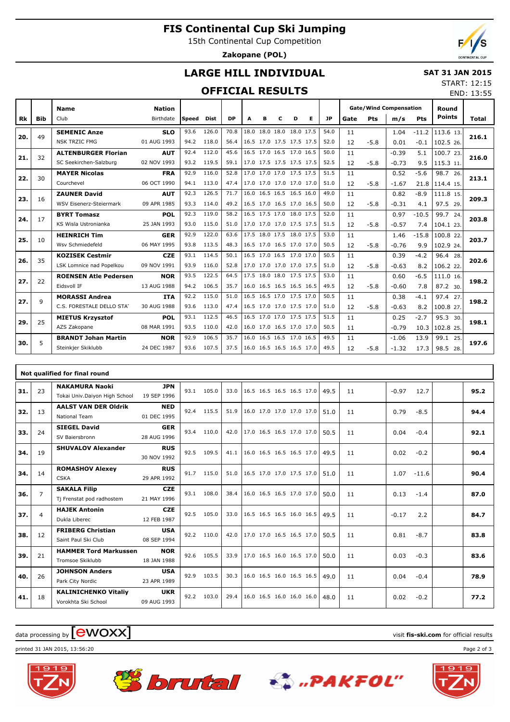## **FIS Continental Cup Ski Jumping**

15th Continental Cup Competition

**Zakopane (POL)**

END: 13:55

## **LARGE HILL INDIVIDUAL**

### **SAT 31 JAN 2015** START: 12:15

## **OFFICIAL RESULTS**

|     |            | <b>Name</b>                    | <b>Nation</b> |       |             |           |   |   |   |                          |   |           | <b>Gate/Wind Compensation</b> |        |         |            | Round         |       |  |
|-----|------------|--------------------------------|---------------|-------|-------------|-----------|---|---|---|--------------------------|---|-----------|-------------------------------|--------|---------|------------|---------------|-------|--|
| Rk  | <b>Bib</b> | Club                           | Birthdate     | Speed | <b>Dist</b> | <b>DP</b> | A | в | c | D                        | Е | <b>JP</b> | Gate                          | Pts    | m/s     | <b>Pts</b> | <b>Points</b> | Total |  |
|     |            | <b>SEMENIC Anze</b>            | <b>SLO</b>    | 93.6  | 126.0       | 70.8      |   |   |   | 18.0 18.0 18.0 18.0 17.5 |   | 54.0      | 11                            |        | 1.04    | $-11.2$    | 113.6 13.     |       |  |
| 20. | 49         | <b>NSK TRZIC FMG</b>           | 01 AUG 1993   | 94.2  | 118.0       | 56.4      |   |   |   | 16.5 17.0 17.5 17.5 17.5 |   | 52.0      | 12                            | $-5.8$ | 0.01    | $-0.1$     | 102.5 26.     | 216.1 |  |
| 21. | 32         | <b>ALTENBURGER Florian</b>     | <b>AUT</b>    | 92.4  | 112.0       | 45.6      |   |   |   | 16.5 17.0 16.5 17.0 16.5 |   | 50.0      | 11                            |        | $-0.39$ | 5.1        | 100.7 23.     |       |  |
|     |            | SC Seekirchen-Salzburg         | 02 NOV 1993   | 93.2  | 119.5       | 59.1      |   |   |   | 17.0 17.5 17.5 17.5 17.5 |   | 52.5      | 12                            | $-5.8$ | $-0.73$ | 9.5        | 115.3 11.     | 216.0 |  |
| 22. | 30         | <b>MAYER Nicolas</b>           | <b>FRA</b>    | 92.9  | 116.0       | 52.8      |   |   |   | 17.0 17.0 17.0 17.5 17.5 |   | 51.5      | 11                            |        | 0.52    | $-5.6$     | 98.7 26.      | 213.1 |  |
|     |            | Courchevel                     | 06 OCT 1990   | 94.1  | 113.0       | 47.4      |   |   |   | 17.0 17.0 17.0 17.0 17.0 |   | 51.0      | 12                            | $-5.8$ | $-1.67$ | 21.8       | 114.4 15.     |       |  |
| 23. | 16         | <b>ZAUNER David</b>            | <b>AUT</b>    | 92.3  | 126.5       | 71.7      |   |   |   | 16.0 16.5 16.5 16.5 16.0 |   | 49.0      | 11                            |        | 0.82    | $-8.9$     | 111.8 15.     | 209.3 |  |
|     |            | <b>WSV Eisenerz-Steiermark</b> | 09 APR 1985   | 93.3  | 114.0       | 49.2      |   |   |   | 16.5 17.0 16.5 17.0 16.5 |   | 50.0      | 12                            | $-5.8$ | $-0.31$ | 4.1        | 97.5 29.      |       |  |
| 24. | 17         | <b>BYRT Tomasz</b>             | <b>POL</b>    | 92.3  | 119.0       | 58.2      |   |   |   | 16.5 17.5 17.0 18.0 17.5 |   | 52.0      | 11                            |        | 0.97    | $-10.5$    | 99.7 24.      | 203.8 |  |
|     |            | KS Wisla Ustronianka           | 25 JAN 1993   | 93.0  | 115.0       | 51.0      |   |   |   | 17.0 17.0 17.0 17.5 17.5 |   | 51.5      | 12                            | $-5.8$ | $-0.57$ | 7.4        | 104.1 23.     |       |  |
| 25. | 10         | <b>HEINRICH Tim</b>            | <b>GER</b>    | 92.9  | 122.0       | 63.6      |   |   |   | 17.5 18.0 17.5 18.0 17.5 |   | 53.0      | 11                            |        | 1.46    | $-15.8$    | 100.8 22.     | 203.7 |  |
|     |            | Wsv Schmiedefeld               | 06 MAY 1995   | 93.8  | 113.5       | 48.3      |   |   |   | 16.5 17.0 16.5 17.0 17.0 |   | 50.5      | 12                            | $-5.8$ | $-0.76$ | 9.9        | 102.9 24.     |       |  |
| 26. | 35         | <b>KOZISEK Cestmir</b>         | <b>CZE</b>    | 93.1  | 114.5       | 50.1      |   |   |   | 16.5 17.0 16.5 17.0 17.0 |   | 50.5      | 11                            |        | 0.39    | $-4.2$     | 96.4 28.      | 202.6 |  |
|     |            | LSK Lomnice nad Popelkou       | 09 NOV 1991   | 93.9  | 116.0       | 52.8      |   |   |   | 17.0 17.0 17.0 17.0 17.5 |   | 51.0      | 12                            | $-5.8$ | $-0.63$ | 8.2        | 106.2 22.     |       |  |
| 27. | 22         | <b>ROENSEN Atle Pedersen</b>   | <b>NOR</b>    | 93.5  | 122.5       | 64.5      |   |   |   | 17.5 18.0 18.0 17.5 17.5 |   | 53.0      | 11                            |        | 0.60    | $-6.5$     | 111.0 16.     | 198.2 |  |
|     |            | Eidsvoll IF                    | 13 AUG 1988   | 94.2  | 106.5       | 35.7      |   |   |   | 16.0 16.5 16.5 16.5 16.5 |   | 49.5      | 12                            | $-5.8$ | $-0.60$ | 7.8        | 87.2 30.      |       |  |
| 27. | 9          | <b>MORASSI Andrea</b>          | <b>ITA</b>    | 92.2  | 115.0       | 51.0      |   |   |   | 16.5 16.5 17.0 17.5 17.0 |   | 50.5      | 11                            |        | 0.38    | $-4.1$     | 97.4 27.      | 198.2 |  |
|     |            | C.S. FORESTALE DELLO STAT      | 30 AUG 1988   | 93.6  | 113.0       | 47.4      |   |   |   | 16.5 17.0 17.0 17.5 17.0 |   | 51.0      | 12                            | $-5.8$ | $-0.63$ | 8.2        | 100.8 27.     |       |  |
| 29. | 25         | <b>MIETUS Krzysztof</b>        | <b>POL</b>    | 93.1  | 112.5       | 46.5      |   |   |   | 16.5 17.0 17.0 17.5 17.5 |   | 51.5      | 11                            |        | 0.25    | $-2.7$     | 95.3 30.      | 198.1 |  |
|     |            | AZS Zakopane                   | 08 MAR 1991   | 93.5  | 110.0       | 42.0      |   |   |   | 16.0 17.0 16.5 17.0 17.0 |   | 50.5      | 11                            |        | $-0.79$ | 10.3       | 102.8 25.     |       |  |
| 30. | 5          | <b>BRANDT Johan Martin</b>     | <b>NOR</b>    | 92.9  | 106.5       | 35.7      |   |   |   | 16.0 16.5 16.5 17.0 16.5 |   | 49.5      | 11                            |        | $-1.06$ | 13.9       | 99.1 25.      | 197.6 |  |
|     |            | Steinkjer Skiklubb             | 24 DEC 1987   | 93.6  | 107.5       | 37.5      |   |   |   | 16.0 16.5 16.5 16.5 17.0 |   | 49.5      | 12                            | $-5.8$ | $-1.32$ | 17.3       | 98.5 28.      |       |  |

|     |                | Not qualified for final round                          |                           |      |            |      |                          |  |      |    |         |         |      |
|-----|----------------|--------------------------------------------------------|---------------------------|------|------------|------|--------------------------|--|------|----|---------|---------|------|
| 31. | 23             | <b>NAKAMURA Naoki</b><br>Tokai Univ.Daiyon High School | <b>JPN</b><br>19 SEP 1996 | 93.1 | 105.0      | 33.0 | 16.5 16.5 16.5 16.5 17.0 |  | 49.5 | 11 | $-0.97$ | 12.7    | 95.2 |
| 32. | 13             | <b>AALST VAN DER Oldrik</b><br>National Team           | <b>NED</b><br>01 DEC 1995 |      | 92.4 115.5 | 51.9 | 16.0 17.0 17.0 17.0 17.0 |  | 51.0 | 11 | 0.79    | $-8.5$  | 94.4 |
| 33. | 24             | <b>SIEGEL David</b><br>SV Baiersbronn                  | <b>GER</b><br>28 AUG 1996 | 93.4 | 110.0      | 42.0 | 17.0 16.5 16.5 17.0 17.0 |  | 50.5 | 11 | 0.04    | $-0.4$  | 92.1 |
| 34. | 19             | <b>SHUVALOV Alexander</b>                              | <b>RUS</b><br>30 NOV 1992 | 92.5 | 109.5      | 41.1 | 16.0 16.5 16.5 16.5 17.0 |  | 49.5 | 11 | 0.02    | $-0.2$  | 90.4 |
| 34. | 14             | <b>ROMASHOV Alexey</b><br><b>CSKA</b>                  | <b>RUS</b><br>29 APR 1992 | 91.7 | 115.0      | 51.0 | 16.5 17.0 17.0 17.5 17.0 |  | 51.0 | 11 | 1.07    | $-11.6$ | 90.4 |
| 36. | $\overline{7}$ | <b>SAKALA Filip</b><br>Tj Frenstat pod radhostem       | <b>CZE</b><br>21 MAY 1996 | 93.1 | 108.0      | 38.4 | 16.0 16.5 16.5 17.0 17.0 |  | 50.0 | 11 | 0.13    | $-1.4$  | 87.0 |
| 37. | $\overline{4}$ | <b>HAJEK Antonin</b><br>Dukla Liberec                  | <b>CZE</b><br>12 FEB 1987 | 92.5 | 105.0      | 33.0 | 16.5 16.5 16.5 16.0 16.5 |  | 49.5 | 11 | $-0.17$ | 2.2     | 84.7 |
| 38. | 12             | <b>FRIBERG Christian</b><br>Saint Paul Ski Club        | <b>USA</b><br>08 SEP 1994 | 92.2 | 110.0      | 42.0 | 17.0 17.0 16.5 16.5 17.0 |  | 50.5 | 11 | 0.81    | $-8.7$  | 83.8 |
| 39. | 21             | <b>HAMMER Tord Markussen</b><br>Tromsoe Skiklubb       | <b>NOR</b><br>18 JAN 1988 | 92.6 | 105.5      | 33.9 | 17.0 16.5 16.0 16.5 17.0 |  | 50.0 | 11 | 0.03    | $-0.3$  | 83.6 |
| 40. | 26             | <b>JOHNSON Anders</b><br>Park City Nordic              | <b>USA</b><br>23 APR 1989 | 92.9 | 103.5      | 30.3 | 16.0 16.5 16.0 16.5 16.5 |  | 49.0 | 11 | 0.04    | $-0.4$  | 78.9 |
| 41. | 18             | <b>KALINICHENKO Vitaliy</b><br>Vorokhta Ski School     | <b>UKR</b><br>09 AUG 1993 | 92.2 | 103.0      | 29.4 | 16.0 16.5 16.0 16.0 16.0 |  | 48.0 | 11 | 0.02    | $-0.2$  | 77.2 |

# $\frac{1}{2}$  data processing by  $\boxed{\text{ewOX}}$

printed 31 JAN 2015, 13:56:20 Page 2 of 3